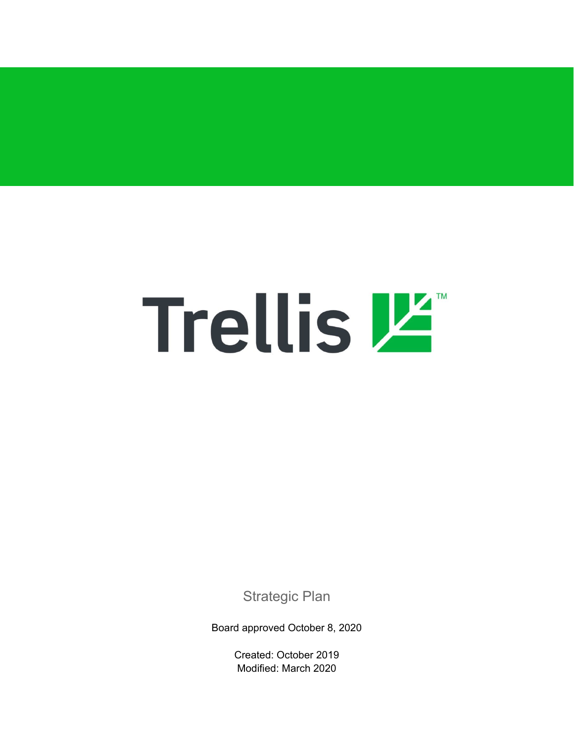# Trellis JZ

Strategic Plan

Board approved October 8, 2020

Created: October 2019 Modified: March 2020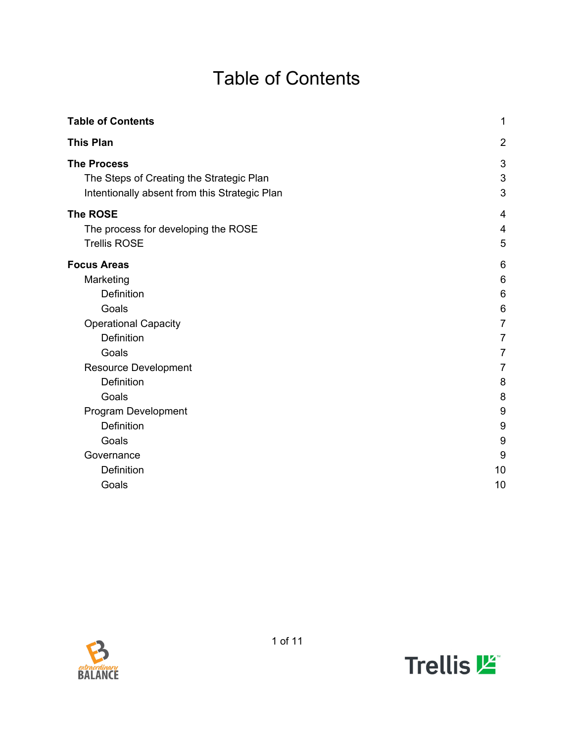# Table of Contents

<span id="page-1-0"></span>

| <b>Table of Contents</b>                      | 1              |
|-----------------------------------------------|----------------|
| <b>This Plan</b>                              | $\overline{2}$ |
| <b>The Process</b>                            | 3              |
| The Steps of Creating the Strategic Plan      | 3              |
| Intentionally absent from this Strategic Plan | 3              |
| <b>The ROSE</b>                               | 4              |
| The process for developing the ROSE           | 4              |
| <b>Trellis ROSE</b>                           | 5              |
| <b>Focus Areas</b>                            | 6              |
| Marketing                                     | 6              |
| Definition                                    | 6              |
| Goals                                         | 6              |
| <b>Operational Capacity</b>                   | 7              |
| Definition                                    | 7              |
| Goals                                         | 7              |
| <b>Resource Development</b>                   | 7              |
| Definition                                    | 8              |
| Goals                                         | 8              |
| Program Development                           | 9              |
| Definition                                    | 9              |
| Goals                                         | 9              |
| Governance                                    | 9              |
| Definition                                    | 10             |
| Goals                                         | 10             |



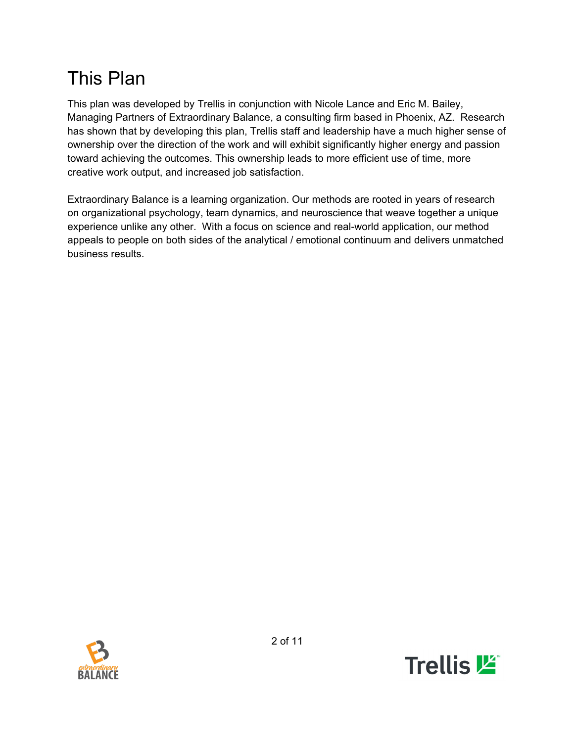# <span id="page-2-0"></span>This Plan

This plan was developed by Trellis in conjunction with Nicole Lance and Eric M. Bailey, Managing Partners of Extraordinary Balance, a consulting firm based in Phoenix, AZ. Research has shown that by developing this plan, Trellis staff and leadership have a much higher sense of ownership over the direction of the work and will exhibit significantly higher energy and passion toward achieving the outcomes. This ownership leads to more efficient use of time, more creative work output, and increased job satisfaction.

Extraordinary Balance is a learning organization. Our methods are rooted in years of research on organizational psychology, team dynamics, and neuroscience that weave together a unique experience unlike any other. With a focus on science and real-world application, our method appeals to people on both sides of the analytical / emotional continuum and delivers unmatched business results.



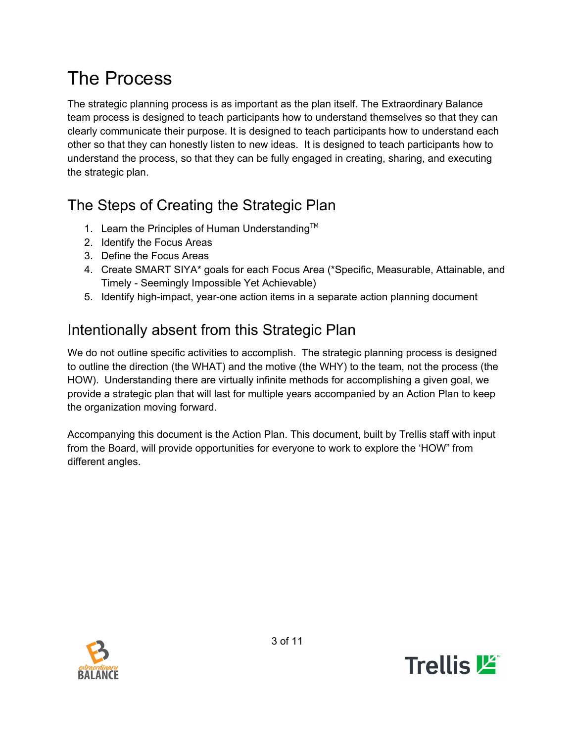# <span id="page-3-0"></span>The Process

The strategic planning process is as important as the plan itself. The Extraordinary Balance team process is designed to teach participants how to understand themselves so that they can clearly communicate their purpose. It is designed to teach participants how to understand each other so that they can honestly listen to new ideas. It is designed to teach participants how to understand the process, so that they can be fully engaged in creating, sharing, and executing the strategic plan.

## <span id="page-3-1"></span>The Steps of Creating the Strategic Plan

- 1. Learn the Principles of Human Understanding™
- 2. Identify the Focus Areas
- 3. Define the Focus Areas
- 4. Create SMART SIYA\* goals for each Focus Area (\*Specific, Measurable, Attainable, and Timely - Seemingly Impossible Yet Achievable)
- 5. Identify high-impact, year-one action items in a separate action planning document

## <span id="page-3-2"></span>Intentionally absent from this Strategic Plan

We do not outline specific activities to accomplish. The strategic planning process is designed to outline the direction (the WHAT) and the motive (the WHY) to the team, not the process (the HOW). Understanding there are virtually infinite methods for accomplishing a given goal, we provide a strategic plan that will last for multiple years accompanied by an Action Plan to keep the organization moving forward.

Accompanying this document is the Action Plan. This document, built by Trellis staff with input from the Board, will provide opportunities for everyone to work to explore the 'HOW" from different angles.



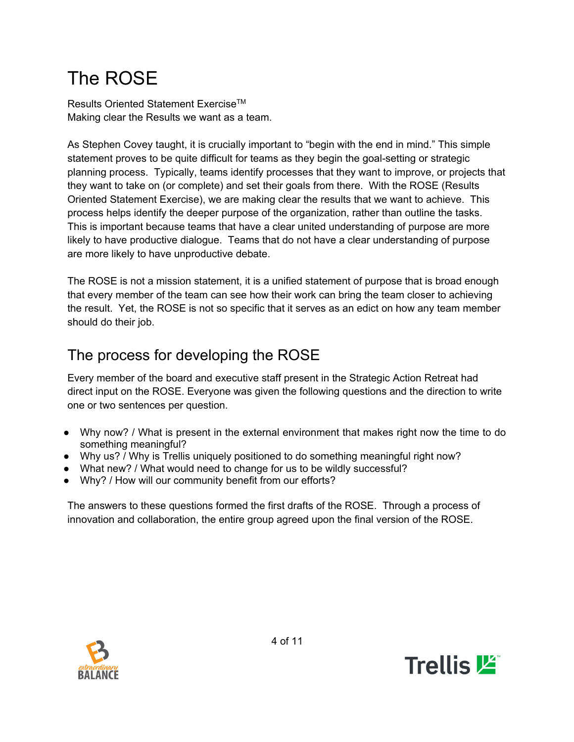# <span id="page-4-0"></span>The ROSE

Results Oriented Statement Exercise<sup>™</sup> Making clear the Results we want as a team.

As Stephen Covey taught, it is crucially important to "begin with the end in mind." This simple statement proves to be quite difficult for teams as they begin the goal-setting or strategic planning process. Typically, teams identify processes that they want to improve, or projects that they want to take on (or complete) and set their goals from there. With the ROSE (Results Oriented Statement Exercise), we are making clear the results that we want to achieve. This process helps identify the deeper purpose of the organization, rather than outline the tasks. This is important because teams that have a clear united understanding of purpose are more likely to have productive dialogue. Teams that do not have a clear understanding of purpose are more likely to have unproductive debate.

The ROSE is not a mission statement, it is a unified statement of purpose that is broad enough that every member of the team can see how their work can bring the team closer to achieving the result. Yet, the ROSE is not so specific that it serves as an edict on how any team member should do their job.

## <span id="page-4-1"></span>The process for developing the ROSE

Every member of the board and executive staff present in the Strategic Action Retreat had direct input on the ROSE. Everyone was given the following questions and the direction to write one or two sentences per question.

- Why now? / What is present in the external environment that makes right now the time to do something meaningful?
- Why us? / Why is Trellis uniquely positioned to do something meaningful right now?
- What new? / What would need to change for us to be wildly successful?
- Why? / How will our community benefit from our efforts?

The answers to these questions formed the first drafts of the ROSE. Through a process of innovation and collaboration, the entire group agreed upon the final version of the ROSE.



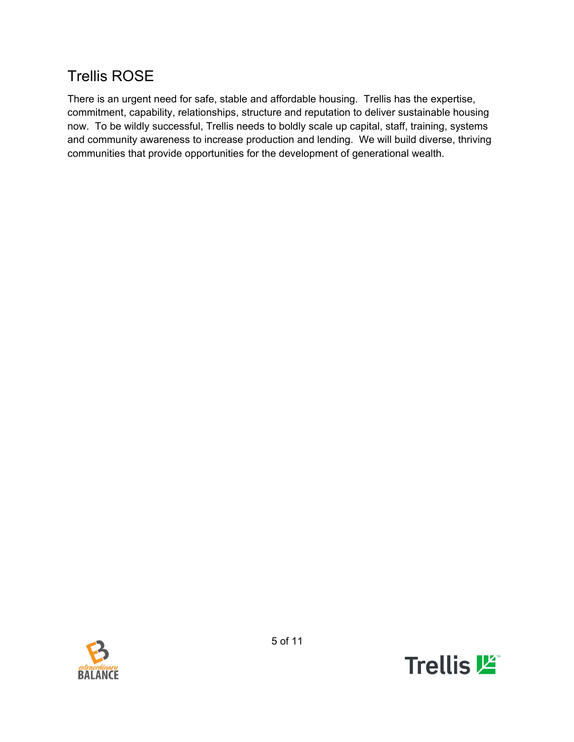## <span id="page-5-0"></span>Trellis ROSE

There is an urgent need for safe, stable and affordable housing. Trellis has the expertise, commitment, capability, relationships, structure and reputation to deliver sustainable housing now. To be wildly successful, Trellis needs to boldly scale up capital, staff, training, systems and community awareness to increase production and lending. We will build diverse, thriving communities that provide opportunities for the development of generational wealth.



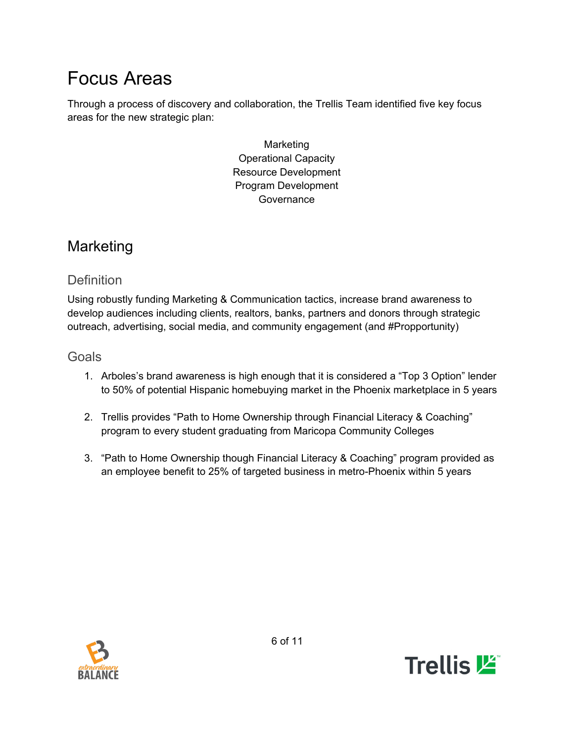## <span id="page-6-0"></span>Focus Areas

Through a process of discovery and collaboration, the Trellis Team identified five key focus areas for the new strategic plan:

> Marketing Operational Capacity Resource Development Program Development **Governance**

## <span id="page-6-1"></span>Marketing

#### <span id="page-6-2"></span>**Definition**

Using robustly funding Marketing & Communication tactics, increase brand awareness to develop audiences including clients, realtors, banks, partners and donors through strategic outreach, advertising, social media, and community engagement (and #Propportunity)

- <span id="page-6-3"></span>1. Arboles's brand awareness is high enough that it is considered a "Top 3 Option" lender to 50% of potential Hispanic homebuying market in the Phoenix marketplace in 5 years
- 2. Trellis provides "Path to Home Ownership through Financial Literacy & Coaching" program to every student graduating from Maricopa Community Colleges
- 3. "Path to Home Ownership though Financial Literacy & Coaching" program provided as an employee benefit to 25% of targeted business in metro-Phoenix within 5 years



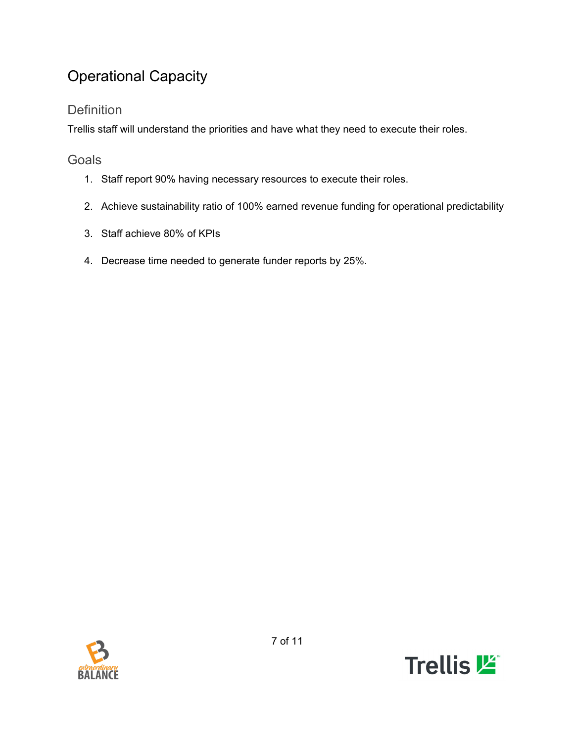## <span id="page-7-0"></span>Operational Capacity

### <span id="page-7-1"></span>**Definition**

<span id="page-7-2"></span>Trellis staff will understand the priorities and have what they need to execute their roles.

- 1. Staff report 90% having necessary resources to execute their roles.
- 2. Achieve sustainability ratio of 100% earned revenue funding for operational predictability
- 3. Staff achieve 80% of KPIs
- <span id="page-7-3"></span>4. Decrease time needed to generate funder reports by 25%.



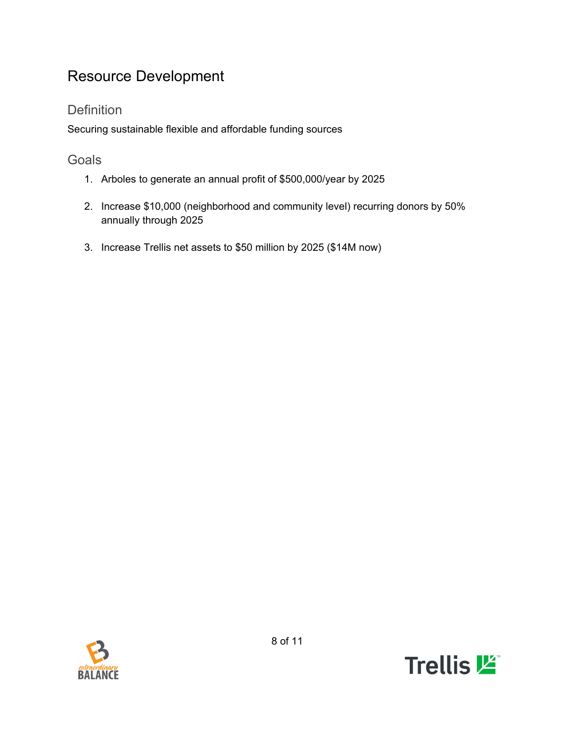## Resource Development

#### <span id="page-8-0"></span>**Definition**

<span id="page-8-1"></span>Securing sustainable flexible and affordable funding sources

- 1. Arboles to generate an annual profit of \$500,000/year by 2025
- 2. Increase \$10,000 (neighborhood and community level) recurring donors by 50% annually through 2025
- 3. Increase Trellis net assets to \$50 million by 2025 (\$14M now)



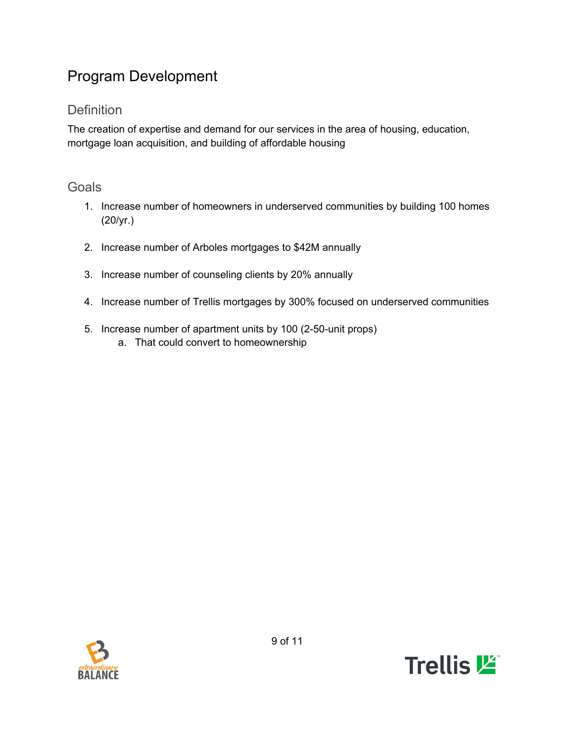## <span id="page-9-0"></span>Program Development

#### <span id="page-9-1"></span>**Definition**

The creation of expertise and demand for our services in the area of housing, education, mortgage loan acquisition, and building of affordable housing

- <span id="page-9-2"></span>1. Increase number of homeowners in underserved communities by building 100 homes (20/yr.)
- 2. Increase number of Arboles mortgages to \$42M annually
- 3. Increase number of counseling clients by 20% annually
- 4. Increase number of Trellis mortgages by 300% focused on underserved communities
- <span id="page-9-3"></span>5. Increase number of apartment units by 100 (2-50-unit props)
	- a. That could convert to homeownership